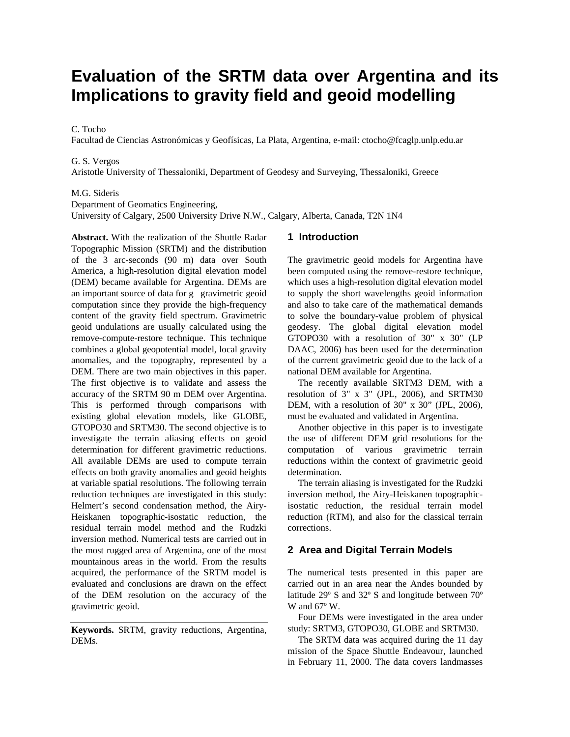# **Evaluation of the SRTM data over Argentina and its Implications to gravity field and geoid modelling**

## C. Tocho

Facultad de Ciencias Astronómicas y Geofísicas, La Plata, Argentina, e-mail: ctocho@fcaglp.unlp.edu.ar

#### G. S. Vergos

Aristotle University of Thessaloniki, Department of Geodesy and Surveying, Thessaloniki, Greece

#### M.G. Sideris

Department of Geomatics Engineering,

University of Calgary, 2500 University Drive N.W., Calgary, Alberta, Canada, T2N 1N4

**Abstract.** With the realization of the Shuttle Radar Topographic Mission (SRTM) and the distribution of the 3 arc-seconds (90 m) data over South America, a high-resolution digital elevation model (DEM) became available for Argentina. DEMs are an important source of data for g gravimetric geoid computation since they provide the high-frequency content of the gravity field spectrum. Gravimetric geoid undulations are usually calculated using the remove-compute-restore technique. This technique combines a global geopotential model, local gravity anomalies, and the topography, represented by a DEM. There are two main objectives in this paper. The first objective is to validate and assess the accuracy of the SRTM 90 m DEM over Argentina. This is performed through comparisons with existing global elevation models, like GLOBE, GTOPO30 and SRTM30. The second objective is to investigate the terrain aliasing effects on geoid determination for different gravimetric reductions. All available DEMs are used to compute terrain effects on both gravity anomalies and geoid heights at variable spatial resolutions. The following terrain reduction techniques are investigated in this study: Helmert's second condensation method, the Airy-Heiskanen topographic-isostatic reduction, the residual terrain model method and the Rudzki inversion method. Numerical tests are carried out in the most rugged area of Argentina, one of the most mountainous areas in the world. From the results acquired, the performance of the SRTM model is evaluated and conclusions are drawn on the effect of the DEM resolution on the accuracy of the gravimetric geoid.

**Keywords.** SRTM, gravity reductions, Argentina, DEMs.

# **1 Introduction**

The gravimetric geoid models for Argentina have been computed using the remove-restore technique, which uses a high-resolution digital elevation model to supply the short wavelengths geoid information and also to take care of the mathematical demands to solve the boundary-value problem of physical geodesy. The global digital elevation model GTOPO30 with a resolution of 30" x 30" (LP DAAC, 2006) has been used for the determination of the current gravimetric geoid due to the lack of a national DEM available for Argentina.

The recently available SRTM3 DEM, with a resolution of 3" x 3" (JPL, 2006), and SRTM30 DEM, with a resolution of 30" x 30" (JPL, 2006), must be evaluated and validated in Argentina.

Another objective in this paper is to investigate the use of different DEM grid resolutions for the computation of various gravimetric terrain reductions within the context of gravimetric geoid determination.

The terrain aliasing is investigated for the Rudzki inversion method, the Airy-Heiskanen topographicisostatic reduction, the residual terrain model reduction (RTM), and also for the classical terrain corrections.

### **2 Area and Digital Terrain Models**

The numerical tests presented in this paper are carried out in an area near the Andes bounded by latitude 29º S and 32º S and longitude between 70º W and 67º W.

Four DEMs were investigated in the area under study: SRTM3, GTOPO30, GLOBE and SRTM30.

The SRTM data was acquired during the 11 day mission of the Space Shuttle Endeavour, launched in February 11, 2000. The data covers landmasses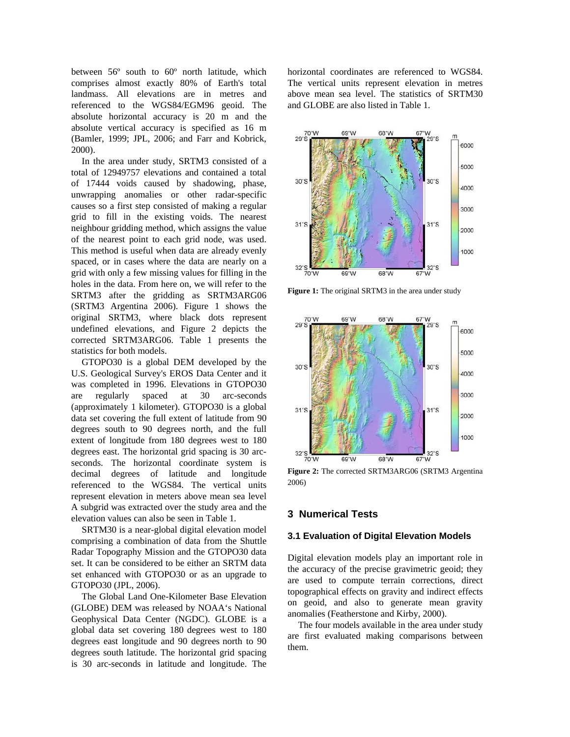between 56º south to 60º north latitude, which comprises almost exactly 80% of Earth's total landmass. All elevations are in metres and referenced to the WGS84/EGM96 geoid. The absolute horizontal accuracy is 20 m and the absolute vertical accuracy is specified as 16 m (Bamler, 1999; JPL, 2006; and Farr and Kobrick, 2000).

In the area under study, SRTM3 consisted of a total of 12949757 elevations and contained a total of 17444 voids caused by shadowing, phase, unwrapping anomalies or other radar-specific causes so a first step consisted of making a regular grid to fill in the existing voids. The nearest neighbour gridding method, which assigns the value of the nearest point to each grid node, was used. This method is useful when data are already evenly spaced, or in cases where the data are nearly on a grid with only a few missing values for filling in the holes in the data. From here on, we will refer to the SRTM3 after the gridding as SRTM3ARG06 (SRTM3 Argentina 2006). Figure 1 shows the original SRTM3, where black dots represent undefined elevations, and Figure 2 depicts the corrected SRTM3ARG06. Table 1 presents the statistics for both models.

GTOPO30 is a global DEM developed by the U.S. Geological Survey's EROS Data Center and it was completed in 1996. Elevations in GTOPO30 are regularly spaced at 30 arc-seconds (approximately 1 kilometer). GTOPO30 is a global data set covering the full extent of latitude from 90 degrees south to 90 degrees north, and the full extent of longitude from 180 degrees west to 180 degrees east. The horizontal grid spacing is 30 arcseconds. The horizontal coordinate system is decimal degrees of latitude and longitude referenced to the WGS84. The vertical units represent elevation in meters above mean sea level A subgrid was extracted over the study area and the elevation values can also be seen in Table 1.

SRTM30 is a near-global digital elevation model comprising a combination of data from the Shuttle Radar Topography Mission and the GTOPO30 data set. It can be considered to be either an SRTM data set enhanced with GTOPO30 or as an upgrade to GTOPO30 (JPL, 2006).

The Global Land One-Kilometer Base Elevation (GLOBE) DEM was released by NOAA's National Geophysical Data Center (NGDC). GLOBE is a global data set covering 180 degrees west to 180 degrees east longitude and 90 degrees north to 90 degrees south latitude. The horizontal grid spacing is 30 arc-seconds in latitude and longitude. The

horizontal coordinates are referenced to WGS84. The vertical units represent elevation in metres above mean sea level. The statistics of SRTM30 and GLOBE are also listed in Table 1.



Figure 1: The original SRTM3 in the area under study



**Figure 2:** The corrected SRTM3ARG06 (SRTM3 Argentina 2006)

## **3 Numerical Tests**

### **3.1 Evaluation of Digital Elevation Models**

Digital elevation models play an important role in the accuracy of the precise gravimetric geoid; they are used to compute terrain corrections, direct topographical effects on gravity and indirect effects on geoid, and also to generate mean gravity anomalies (Featherstone and Kirby, 2000).

The four models available in the area under study are first evaluated making comparisons between them.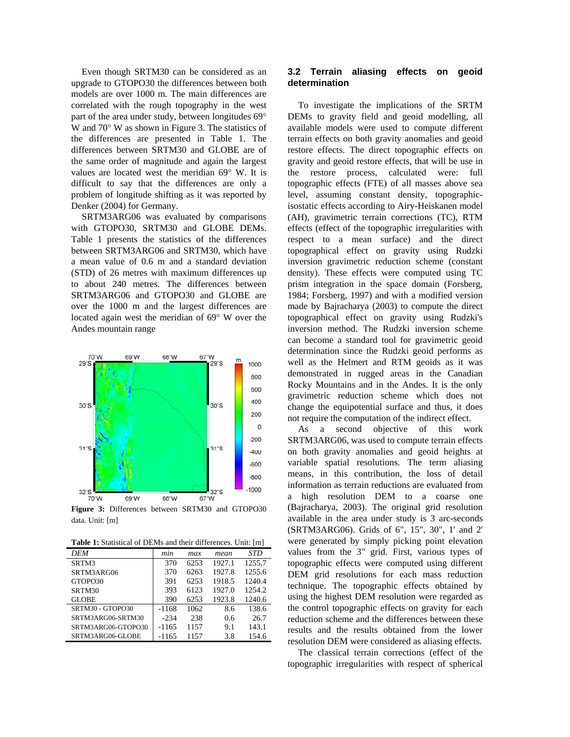Even though SRTM30 can be considered as an upgrade to GTOPO30 the differences between both models are over 1000 m. The main differences are correlated with the rough topography in the west part of the area under study, between longitudes 69° W and 70° W as shown in Figure 3. The statistics of the differences are presented in Table 1. The differences between SRTM30 and GLOBE are of the same order of magnitude and again the largest values are located west the meridian 69° W. It is difficult to say that the differences are only a problem of longitude shifting as it was reported by Denker (2004) for Germany.

SRTM3ARG06 was evaluated by comparisons with GTOPO30, SRTM30 and GLOBE DEMs. Table 1 presents the statistics of the differences between SRTM3ARG06 and SRTM30, which have a mean value of 0.6 m and a standard deviation (STD) of 26 metres with maximum differences up to about 240 metres. The differences between SRTM3ARG06 and GTOPO30 and GLOBE are over the 1000 m and the largest differences are located again west the meridian of 69° W over the Andes mountain range



**Figure 3:** Differences between SRTM30 and GTOPO30 data. Unit: [m]

**Table 1:** Statistical of DEMs and their differences. Unit: [m]

| DEM                | min     | max  | mean   | STD    |
|--------------------|---------|------|--------|--------|
| SRTM3              | 370     | 6253 | 1927.1 | 1255.7 |
| SRTM3ARG06         | 370     | 6263 | 1927.8 | 1255.6 |
| GTOPO30            | 391     | 6253 | 1918.5 | 1240.4 |
| SRTM30             | 393     | 6123 | 1927.0 | 1254.2 |
| <b>GLOBE</b>       | 390     | 6253 | 1923.8 | 1240.6 |
| SRTM30 - GTOPO30   | $-1168$ | 1062 | 8.6    | 138.6  |
| SRTM3ARG06-SRTM30  | $-234$  | 238  | 0.6    | 26.7   |
| SRTM3ARG06-GTOPO30 | -1165   | 1157 | 9.1    | 143.1  |
| SRTM3ARG06-GLOBE   | $-1165$ | 1157 | 3.8    | 154.6  |

## **3.2 Terrain aliasing effects on geoid determination**

To investigate the implications of the SRTM DEMs to gravity field and geoid modelling, all available models were used to compute different terrain effects on both gravity anomalies and geoid restore effects. The direct topographic effects on gravity and geoid restore effects, that will be use in the restore process, calculated were: full topographic effects (FTE) of all masses above sea level, assuming constant density, topographicisostatic effects according to Airy-Heiskanen model (AH), gravimetric terrain corrections (TC), RTM effects (effect of the topographic irregularities with respect to a mean surface) and the direct topographical effect on gravity using Rudzki inversion gravimetric reduction scheme (constant density). These effects were computed using TC prism integration in the space domain (Forsberg, 1984; Forsberg, 1997) and with a modified version made by Bajracharya (2003) to compute the direct topographical effect on gravity using Rudzki's inversion method. The Rudzki inversion scheme can become a standard tool for gravimetric geoid determination since the Rudzki geoid performs as well as the Helmert and RTM geoids as it was demonstrated in rugged areas in the Canadian Rocky Mountains and in the Andes. It is the only gravimetric reduction scheme which does not change the equipotential surface and thus, it does not require the computation of the indirect effect.

As a second objective of this work SRTM3ARG06, was used to compute terrain effects on both gravity anomalies and geoid heights at variable spatial resolutions. The term aliasing means, in this contribution, the loss of detail information as terrain reductions are evaluated from a high resolution DEM to a coarse one (Bajracharya, 2003). The original grid resolution available in the area under study is 3 arc-seconds (SRTM3ARG06). Grids of 6", 15", 30", 1' and 2' were generated by simply picking point elevation values from the 3" grid. First, various types of topographic effects were computed using different DEM grid resolutions for each mass reduction technique. The topographic effects obtained by using the highest DEM resolution were regarded as the control topographic effects on gravity for each reduction scheme and the differences between these results and the results obtained from the lower resolution DEM were considered as aliasing effects.

The classical terrain corrections (effect of the topographic irregularities with respect of spherical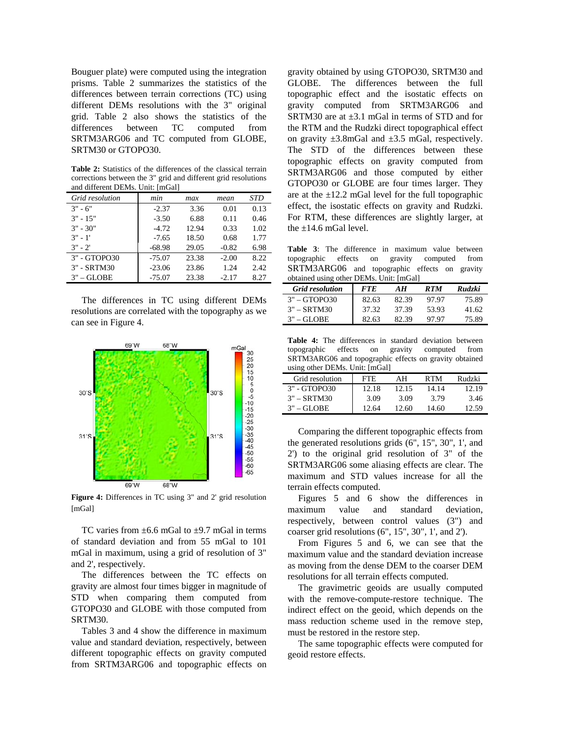Bouguer plate) were computed using the integration prisms. Table 2 summarizes the statistics of the differences between terrain corrections (TC) using different DEMs resolutions with the 3" original grid. Table 2 also shows the statistics of the differences between TC computed from SRTM3ARG06 and TC computed from GLOBE, SRTM30 or GTOPO30.

**Table 2:** Statistics of the differences of the classical terrain corrections between the 3" grid and different grid resolutions and different DEMs. Unit: [mGal]

| Grid resolution | min      | max   | mean    | STD  |
|-----------------|----------|-------|---------|------|
| $3" - 6"$       | $-2.37$  | 3.36  | 0.01    | 0.13 |
| $3" - 15"$      | $-3.50$  | 6.88  | 0.11    | 0.46 |
| $3" - 30"$      | $-4.72$  | 12.94 | 0.33    | 1.02 |
| $3" - 1'$       | $-7.65$  | 18.50 | 0.68    | 1.77 |
| $3" - 2'$       | $-68.98$ | 29.05 | $-0.82$ | 6.98 |
| 3" - GTOPO30    | $-75.07$ | 23.38 | $-2.00$ | 8.22 |
| 3" - SRTM30     | $-23.06$ | 23.86 | 1.24    | 2.42 |
| $3" - GLOBE$    | $-75.07$ | 23.38 | $-2.17$ | 8.27 |

The differences in TC using different DEMs resolutions are correlated with the topography as we can see in Figure 4.



Figure 4: Differences in TC using 3" and 2' grid resolution [mGal]

TC varies from  $\pm$ 6.6 mGal to  $\pm$ 9.7 mGal in terms of standard deviation and from 55 mGal to 101 mGal in maximum, using a grid of resolution of 3" and 2', respectively.

The differences between the TC effects on gravity are almost four times bigger in magnitude of STD when comparing them computed from GTOPO30 and GLOBE with those computed from SRTM30.

Tables 3 and 4 show the difference in maximum value and standard deviation, respectively, between different topographic effects on gravity computed from SRTM3ARG06 and topographic effects on

gravity obtained by using GTOPO30, SRTM30 and GLOBE. The differences between the full topographic effect and the isostatic effects on gravity computed from SRTM3ARG06 and SRTM30 are at  $\pm 3.1$  mGal in terms of STD and for the RTM and the Rudzki direct topographical effect on gravity  $\pm 3.8$ mGal and  $\pm 3.5$  mGal, respectively. The STD of the differences between these topographic effects on gravity computed from SRTM3ARG06 and those computed by either GTOPO30 or GLOBE are four times larger. They are at the  $\pm 12.2$  mGal level for the full topographic effect, the isostatic effects on gravity and Rudzki. For RTM, these differences are slightly larger, at the  $\pm$ 14.6 mGal level.

**able 3**: The difference in maximum value between **T** topographic effects on gravity computed from SRTM3ARG06 and topographic effects on gravity obtained using other DEMs. Unit: [mGal]

| <b>Grid resolution</b> | <i>FTE</i> | AН    | <b>RTM</b> | <b>Rudzki</b> |
|------------------------|------------|-------|------------|---------------|
| $3" - GTOPO30$         | 82.63      | 82.39 | 97.97      | 75.89         |
| $3" - SRTM30$          | 37.32      | 37.39 | 53.93      | 41.62         |
| $3" - GI.$ OBE         | 82.63      | 82.39 | 97.97      | 75.89         |

**Table 4:** The differences in standard deviation between topographic effects on gravity computed from topographic effects on gravity SRTM3ARG06 and topographic effects on gravity obtained using other DEMs. Unit: [mGal]

| Grid resolution  | FTE.  | AН    | <b>RTM</b> | Rudzki |
|------------------|-------|-------|------------|--------|
| 3" - GTOPO30     | 12.18 | 12.15 | 14.14      | 12.19  |
| $3"$ – SRTM30    | 3.09  | 3.09  | 3.79       | 3.46   |
| $3" - GI \Omega$ | 12.64 | 12.60 | 14.60      | 12.59  |

Comparing the different topographic effects from the generated resolutions grids (6", 15", 30", 1', and 2') to the original grid resolution of 3" of the SRTM3ARG06 some aliasing effects are clear. The maximum and STD values increase for all the terrain effects computed.

Figures 5 and 6 show the differences in maximum value and standard deviation, respectively, between control values (3") and coarser grid resolutions (6", 15", 30", 1', and 2').

From Figures 5 and 6, we can see that the ma ximum value and the standard deviation increase as moving from the dense DEM to the coarser DEM resolutions for all terrain effects computed.

The gravimetric geoids are usually computed wi th the remove-compute-restore technique. The indirect effect on the geoid, which depends on the mass reduction scheme used in the remove step, must be restored in the restore step.

The same topographic effects were computed for geoid restore effects.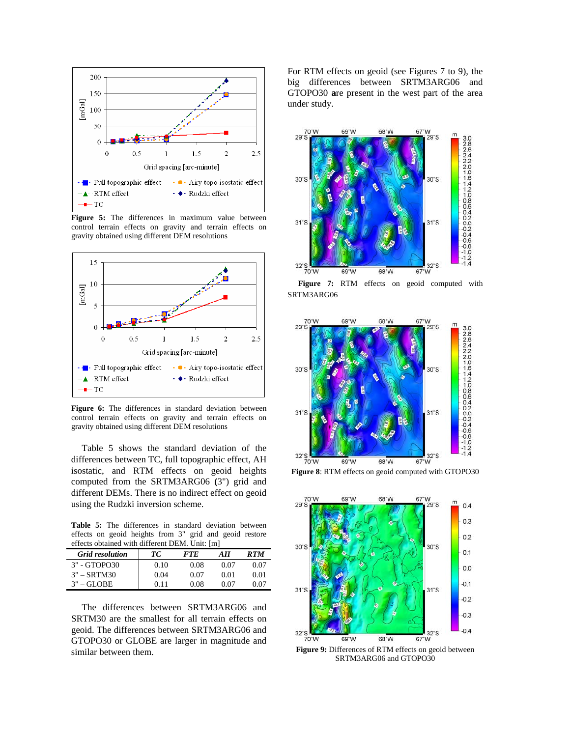

**Figure 5:** The differences in maximum value between control terrain effects on gravity and terrain effects on gravity obtained using different DEM resolutions



Figure 6: The differences in standard deviation between control terrain effects on gravity and terrain effects on gravity obtained using different DEM resolutions

Table 5 shows the standard deviation of the differences between TC, full topographic effect, AH iso static, and RTM effects on geoid heights computed from the SRTM3ARG06 **(**3") grid and different DEMs. There is no indirect effect on geoid using the Rudzki inversion scheme.

Table 5: The differences in standard deviation between effects on geoid heights from 3" grid and geoid restore effects obtained with different DEM. Unit: [m]

| <b>Grid resolution</b> | TС   | <i>FTE</i> | AН   | <b>RTM</b> |
|------------------------|------|------------|------|------------|
| 3" - GTOPO30           | 0.10 | 0.08       | 0.07 | 0.07       |
| $3" - SRTM30$          | 0.04 | 0.07       | 0.01 | 0.01       |
| $3"$ – GLOBE           | 0.11 | 0.08       | 0.07 | 0.07       |

The differences between SRTM3ARG06 and SRTM30 are the smallest for all terrain effects on ge oid. The differences between SRTM3ARG06 and GTOPO30 or GLOBE are larger in magnitude and similar between them.

big differences between SRTM3ARG06 and For RTM effects on geoid (see Figures 7 to 9), the GTOPO30 **a**re present in the west part of the area under study.







**Figure 8**: RTM effects on geoid computed with GTOPO30



**Figure 9:** Differences of RTM effects on geoid between SRTM3ARG06 and GTOPO30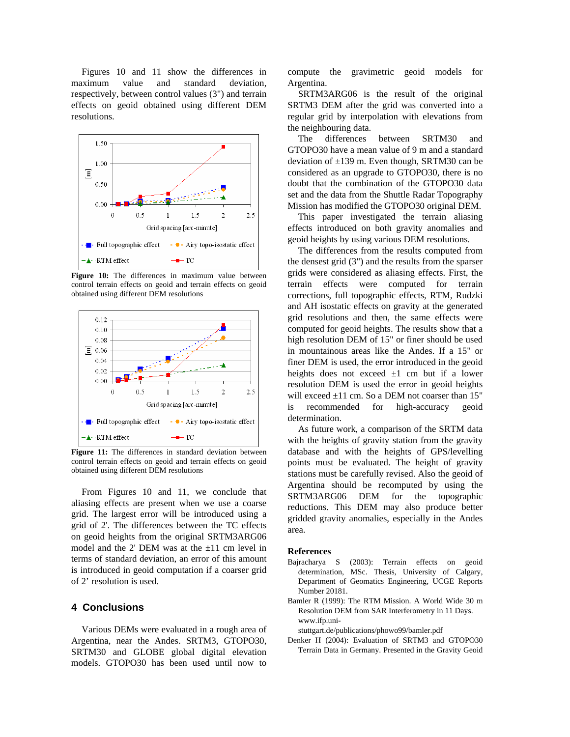Figures 10 and 11 show the differences in maximum value and standard deviation, respectively, between control values (3") and terrain effects on geoid obtained using different DEM resolutions.



Figure 10: The differences in maximum value between control terrain effects on geoid and terrain effects on geoid obtained using different DEM resolutions



**Figure 11:** The differences in standard deviation between control terrain effects on geoid and terrain effects on geoid obtained using different DEM resolutions

From Figures 10 and 11, we conclude that aliasing e ffects are present when we use a coarse grid. The largest error will be introduced using a grid of 2'. The differences between the TC effects on geoid heights from the original SRTM3ARG06 model and the 2' DEM was at the  $\pm 11$  cm level in terms of standard deviation, an error of this amount is introduced in geoid computation if a coarser grid of 2' resolution is used.

### **4 Conclusions**

Various DEMs were evaluated in a rough area of Argentina, near the Andes. SRTM3, GTOPO30, SRTM30 and GLOBE global digital elevation models. GTOPO30 has been used until now to

compute the gravimetric geoid models for Argentina.

SRTM3 DEM after the grid was converted into a reg ular grid by interpolation with elevations from SRTM3ARG06 is the result of the original the neighbouring data.

GTOPO30 have a mean value of 9 m and a standard de viation of ±139 m. Even though, SRTM30 can be The differences between SRTM30 and considered as an upgrade to GTOPO30, there is no doubt that the combination of the GTOPO30 data set and the data from the Shuttle Radar Topography Mission has modified the GTOPO30 original DEM.

ge oid heights by using various DEM resolutions. This paper investigated the terrain aliasing effects introduced on both gravity anomalies and

the densest grid  $(3")$  and the results from the sparser gri ds were considered as aliasing effects. First, the The differences from the results computed from terrain effects were computed for terrain corrections, full topographic effects, RTM, Rudzki and AH isostatic effects on gravity at the generated grid resolutions and then, the same effects were computed for geoid heights. The results show that a high resolution DEM of 15" or finer should be used in mountainous areas like the Andes. If a 15" or finer DEM is used, the error introduced in the geoid heights does not exceed  $\pm 1$  cm but if a lower resolution DEM is used the error in geoid heights will exceed  $\pm 11$  cm. So a DEM not coarser than 15" is recommended for high-accuracy geoid determination.

with the heights of gravity station from the gravity da tabase and with the heights of GPS/levelling As future work, a comparison of the SRTM data points must be evaluated. The height of gravity stations must be carefully revised. Also the geoid of Argentina should be recomputed by using the SRTM3ARG06 DEM for the topographic reductions. This DEM may also produce better gridded gravity anomalies, especially in the Andes area.

#### **References**

- Bajracharya S (2003): Terrain effects on geoid determination, MSc. Thesis, University of Calgary, Department of Geomatics Engineering, UCGE Reports Number 20181.
- Ba mler R (1999): The RTM Mission. A World Wide 30 m Resolution DEM from SAR Interferometry in 11 Days. www.ifp.uni-

stuttgart.de/publications/phowo99/bamler.pdf

Terrain Data in Germany. Presented in the Gravity Geoid Denker H (2004): Evaluation of SRTM3 and GTOPO30